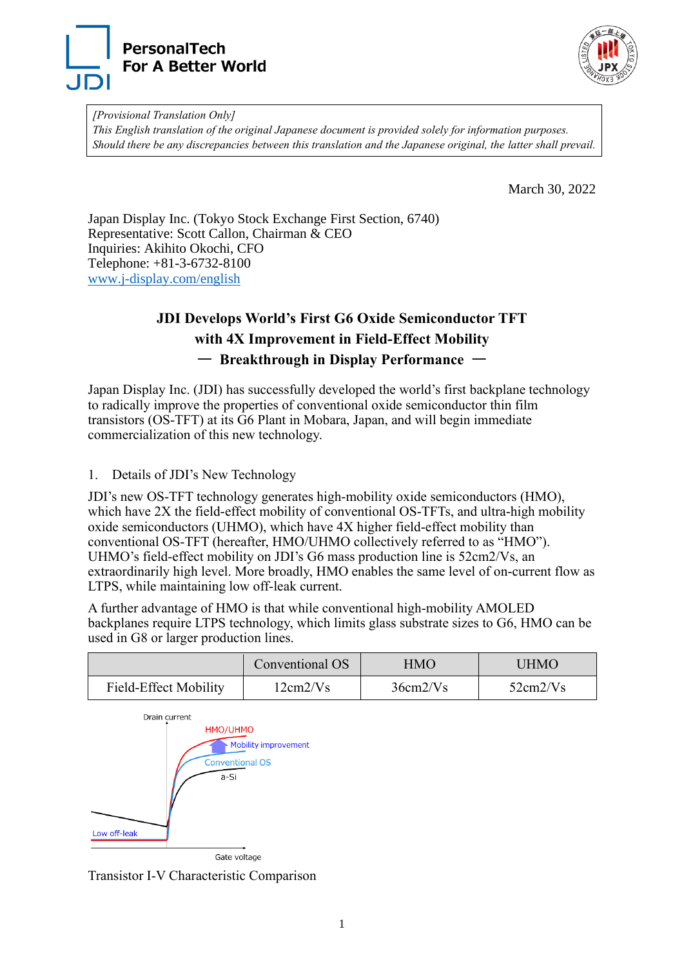



*[Provisional Translation Only] This English translation of the original Japanese document is provided solely for information purposes. Should there be any discrepancies between this translation and the Japanese original, the latter shall prevail.*

March 30, 2022

Japan Display Inc. (Tokyo Stock Exchange First Section, 6740) Representative: Scott Callon, Chairman & CEO Inquiries: Akihito Okochi, CFO Telephone: +81-3-6732-8100 [www.j-display.com/english](http://www.j-display.com/english)

# **JDI Develops World's First G6 Oxide Semiconductor TFT with 4X Improvement in Field-Effect Mobility**  ― **Breakthrough in Display Performance** ―

Japan Display Inc. (JDI) has successfully developed the world's first backplane technology to radically improve the properties of conventional oxide semiconductor thin film transistors (OS-TFT) at its G6 Plant in Mobara, Japan, and will begin immediate commercialization of this new technology.

1. Details of JDI's New Technology

JDI's new OS-TFT technology generates high-mobility oxide semiconductors (HMO), which have 2X the field-effect mobility of conventional OS-TFTs, and ultra-high mobility oxide semiconductors (UHMO), which have 4X higher field-effect mobility than conventional OS-TFT (hereafter, HMO/UHMO collectively referred to as "HMO"). UHMO's field-effect mobility on JDI's G6 mass production line is 52cm2/Vs, an extraordinarily high level. More broadly, HMO enables the same level of on-current flow as LTPS, while maintaining low off-leak current.

A further advantage of HMO is that while conventional high-mobility AMOLED backplanes require LTPS technology, which limits glass substrate sizes to G6, HMO can be used in G8 or larger production lines.

|                              | Conventional OS | HMO      | UHMO     |
|------------------------------|-----------------|----------|----------|
| <b>Field-Effect Mobility</b> | 12cm2/Vs        | 36cm2/Vs | 52cm2/Vs |



Transistor I-V Characteristic Comparison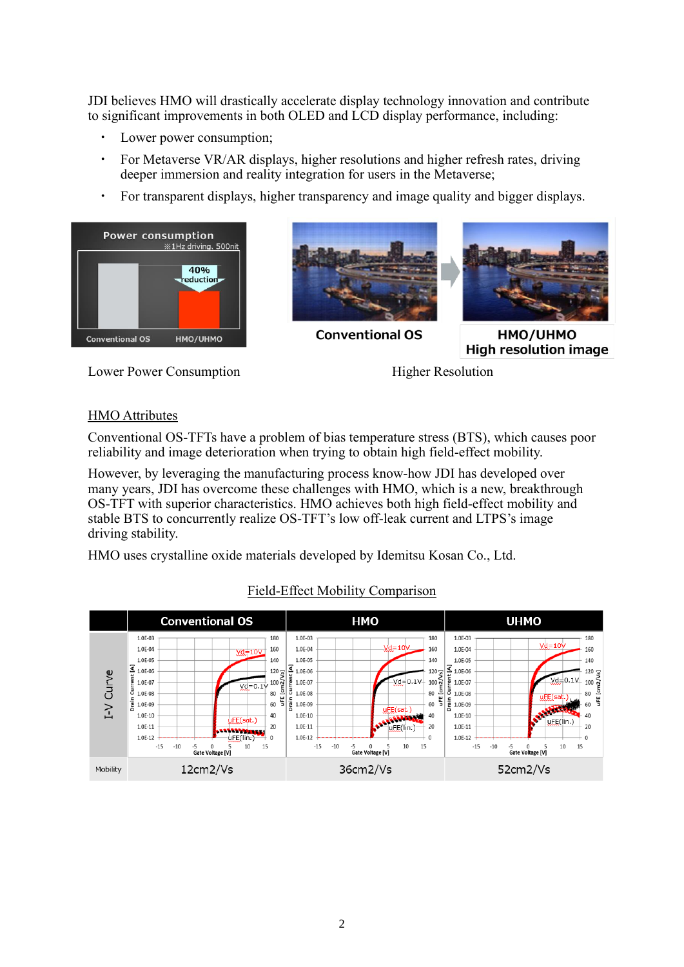JDI believes HMO will drastically accelerate display technology innovation and contribute to significant improvements in both OLED and LCD display performance, including:

- Lower power consumption;
- For Metaverse VR/AR displays, higher resolutions and higher refresh rates, driving deeper immersion and reality integration for users in the Metaverse;
- ・ For transparent displays, higher transparency and image quality and bigger displays.









HMO/UHMO **High resolution image** 

Lower Power Consumption Higher Resolution

#### HMO Attributes

Conventional OS-TFTs have a problem of bias temperature stress (BTS), which causes poor reliability and image deterioration when trying to obtain high field-effect mobility.

However, by leveraging the manufacturing process know-how JDI has developed over many years, JDI has overcome these challenges with HMO, which is a new, breakthrough OS-TFT with superior characteristics. HMO achieves both high field-effect mobility and stable BTS to concurrently realize OS-TFT's low off-leak current and LTPS's image driving stability.

HMO uses crystalline oxide materials developed by Idemitsu Kosan Co., Ltd.



### Field-Effect Mobility Comparison